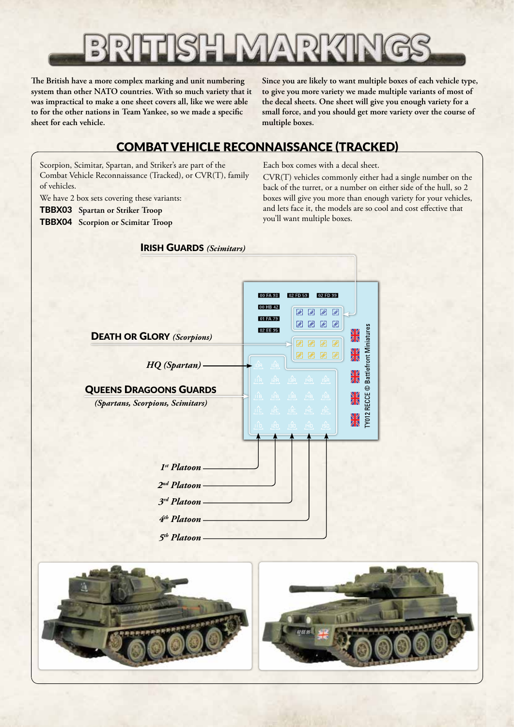**The British have a more complex marking and unit numbering system than other NATO countries. With so much variety that it was impractical to make a one sheet covers all, like we were able to for the other nations in Team Yankee, so we made a specific sheet for each vehicle.**

**Since you are likely to want multiple boxes of each vehicle type, to give you more variety we made multiple variants of most of the decal sheets. One sheet will give you enough variety for a small force, and you should get more variety over the course of multiple boxes.**

# COMBAT VEHICLE RECONNAISSANCE (TRACKED)

Scorpion, Scimitar, Spartan, and Striker's are part of the Combat Vehicle Reconnaissance (Tracked), or CVR(T), family of vehicles.

We have 2 box sets covering these variants:

TBBX03 **Spartan or Striker Troop**

TBBX04 **Scorpion or Scimitar Troop**

#### Each box comes with a decal sheet.

CVR(T) vehicles commonly either had a single number on the back of the turret, or a number on either side of the hull, so 2 boxes will give you more than enough variety for your vehicles, and lets face it, the models are so cool and cost effective that you'll want multiple boxes.

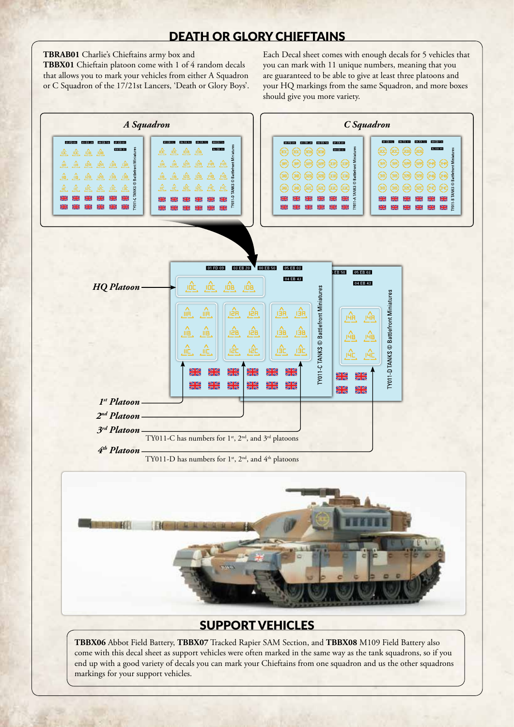#### DEATH OR GLORY CHIEFTAINS

**TBRAB01** Charlie's Chieftains army box and

**TBBX01** Chieftain platoon come with 1 of 4 random decals that allows you to mark your vehicles from either A Squadron or C Squadron of the 17/21st Lancers, 'Death or Glory Boys'.

Each Decal sheet comes with enough decals for 5 vehicles that you can mark with 11 unique numbers, meaning that you are guaranteed to be able to give at least three platoons and your HQ markings from the same Squadron, and more boxes should give you more variety.



### SUPPORT VEHICLES

**TBBX06** Abbot Field Battery, **TBBX07** Tracked Rapier SAM Section, and **TBBX08** M109 Field Battery also come with this decal sheet as support vehicles were often marked in the same way as the tank squadrons, so if you end up with a good variety of decals you can mark your Chieftains from one squadron and us the other squadrons markings for your support vehicles.